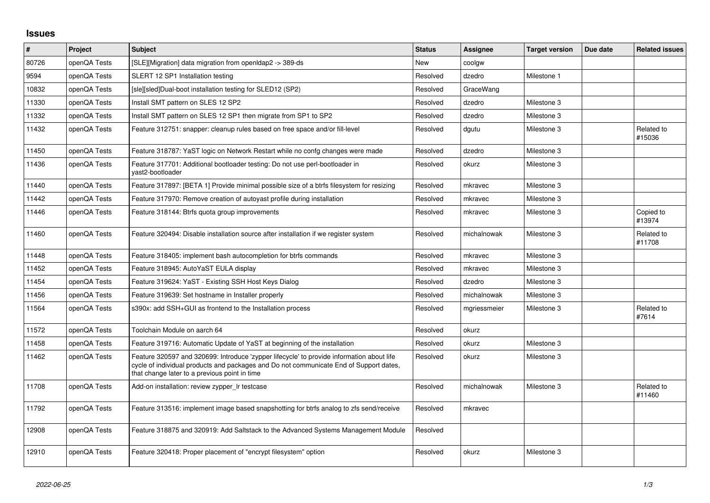## **Issues**

| $\pmb{\sharp}$ | Project      | <b>Subject</b>                                                                                                                                                                                                                       | <b>Status</b> | <b>Assignee</b> | <b>Target version</b> | Due date | <b>Related issues</b> |
|----------------|--------------|--------------------------------------------------------------------------------------------------------------------------------------------------------------------------------------------------------------------------------------|---------------|-----------------|-----------------------|----------|-----------------------|
| 80726          | openQA Tests | [SLE][Migration] data migration from openIdap2 -> 389-ds                                                                                                                                                                             | <b>New</b>    | coolgw          |                       |          |                       |
| 9594           | openQA Tests | SLERT 12 SP1 Installation testing                                                                                                                                                                                                    | Resolved      | dzedro          | Milestone 1           |          |                       |
| 10832          | openQA Tests | [sle][sled]Dual-boot installation testing for SLED12 (SP2)                                                                                                                                                                           | Resolved      | GraceWang       |                       |          |                       |
| 11330          | openQA Tests | Install SMT pattern on SLES 12 SP2                                                                                                                                                                                                   | Resolved      | dzedro          | Milestone 3           |          |                       |
| 11332          | openQA Tests | Install SMT pattern on SLES 12 SP1 then migrate from SP1 to SP2                                                                                                                                                                      | Resolved      | dzedro          | Milestone 3           |          |                       |
| 11432          | openQA Tests | Feature 312751: snapper: cleanup rules based on free space and/or fill-level                                                                                                                                                         | Resolved      | dgutu           | Milestone 3           |          | Related to<br>#15036  |
| 11450          | openQA Tests | Feature 318787: YaST logic on Network Restart while no confg changes were made                                                                                                                                                       | Resolved      | dzedro          | Milestone 3           |          |                       |
| 11436          | openQA Tests | Feature 317701: Additional bootloader testing: Do not use perl-bootloader in<br>yast2-bootloader                                                                                                                                     | Resolved      | okurz           | Milestone 3           |          |                       |
| 11440          | openQA Tests | Feature 317897: [BETA 1] Provide minimal possible size of a btrfs filesystem for resizing                                                                                                                                            | Resolved      | mkravec         | Milestone 3           |          |                       |
| 11442          | openQA Tests | Feature 317970: Remove creation of autoyast profile during installation                                                                                                                                                              | Resolved      | mkravec         | Milestone 3           |          |                       |
| 11446          | openQA Tests | Feature 318144: Btrfs quota group improvements                                                                                                                                                                                       | Resolved      | mkravec         | Milestone 3           |          | Copied to<br>#13974   |
| 11460          | openQA Tests | Feature 320494: Disable installation source after installation if we register system                                                                                                                                                 | Resolved      | michalnowak     | Milestone 3           |          | Related to<br>#11708  |
| 11448          | openQA Tests | Feature 318405: implement bash autocompletion for btrfs commands                                                                                                                                                                     | Resolved      | mkravec         | Milestone 3           |          |                       |
| 11452          | openQA Tests | Feature 318945: AutoYaST EULA display                                                                                                                                                                                                | Resolved      | mkravec         | Milestone 3           |          |                       |
| 11454          | openQA Tests | Feature 319624: YaST - Existing SSH Host Keys Dialog                                                                                                                                                                                 | Resolved      | dzedro          | Milestone 3           |          |                       |
| 11456          | openQA Tests | Feature 319639: Set hostname in Installer properly                                                                                                                                                                                   | Resolved      | michalnowak     | Milestone 3           |          |                       |
| 11564          | openQA Tests | s390x: add SSH+GUI as frontend to the Installation process                                                                                                                                                                           | Resolved      | mgriessmeier    | Milestone 3           |          | Related to<br>#7614   |
| 11572          | openQA Tests | Toolchain Module on aarch 64                                                                                                                                                                                                         | Resolved      | okurz           |                       |          |                       |
| 11458          | openQA Tests | Feature 319716: Automatic Update of YaST at beginning of the installation                                                                                                                                                            | Resolved      | okurz           | Milestone 3           |          |                       |
| 11462          | openQA Tests | Feature 320597 and 320699: Introduce 'zypper lifecycle' to provide information about life<br>cycle of individual products and packages and Do not communicate End of Support dates,<br>that change later to a previous point in time | Resolved      | okurz           | Milestone 3           |          |                       |
| 11708          | openQA Tests | Add-on installation: review zypper Ir testcase                                                                                                                                                                                       | Resolved      | michalnowak     | Milestone 3           |          | Related to<br>#11460  |
| 11792          | openQA Tests | Feature 313516: implement image based snapshotting for btrfs analog to zfs send/receive                                                                                                                                              | Resolved      | mkravec         |                       |          |                       |
| 12908          | openQA Tests | Feature 318875 and 320919: Add Saltstack to the Advanced Systems Management Module                                                                                                                                                   | Resolved      |                 |                       |          |                       |
| 12910          | openQA Tests | Feature 320418: Proper placement of "encrypt filesystem" option                                                                                                                                                                      | Resolved      | okurz           | Milestone 3           |          |                       |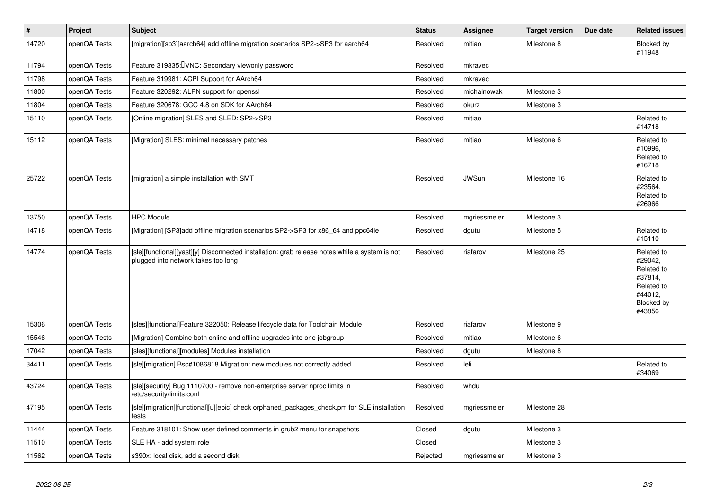| $\vert$ # | Project      | <b>Subject</b>                                                                                                                        | <b>Status</b> | Assignee     | <b>Target version</b> | Due date | <b>Related issues</b>                                                                           |
|-----------|--------------|---------------------------------------------------------------------------------------------------------------------------------------|---------------|--------------|-----------------------|----------|-------------------------------------------------------------------------------------------------|
| 14720     | openQA Tests | [migration][sp3][aarch64] add offline migration scenarios SP2->SP3 for aarch64                                                        | Resolved      | mitiao       | Milestone 8           |          | Blocked by<br>#11948                                                                            |
| 11794     | openQA Tests | Feature 319335: VNC: Secondary viewonly password                                                                                      | Resolved      | mkravec      |                       |          |                                                                                                 |
| 11798     | openQA Tests | Feature 319981: ACPI Support for AArch64                                                                                              | Resolved      | mkravec      |                       |          |                                                                                                 |
| 11800     | openQA Tests | Feature 320292: ALPN support for openssl                                                                                              | Resolved      | michalnowak  | Milestone 3           |          |                                                                                                 |
| 11804     | openQA Tests | Feature 320678: GCC 4.8 on SDK for AArch64                                                                                            | Resolved      | okurz        | Milestone 3           |          |                                                                                                 |
| 15110     | openQA Tests | [Online migration] SLES and SLED: SP2->SP3                                                                                            | Resolved      | mitiao       |                       |          | Related to<br>#14718                                                                            |
| 15112     | openQA Tests | [Migration] SLES: minimal necessary patches                                                                                           | Resolved      | mitiao       | Milestone 6           |          | Related to<br>#10996.<br>Related to<br>#16718                                                   |
| 25722     | openQA Tests | [migration] a simple installation with SMT                                                                                            | Resolved      | <b>JWSun</b> | Milestone 16          |          | Related to<br>#23564,<br>Related to<br>#26966                                                   |
| 13750     | openQA Tests | <b>HPC Module</b>                                                                                                                     | Resolved      | mgriessmeier | Milestone 3           |          |                                                                                                 |
| 14718     | openQA Tests | [Migration] [SP3]add offline migration scenarios SP2->SP3 for x86 64 and ppc64le                                                      | Resolved      | dgutu        | Milestone 5           |          | Related to<br>#15110                                                                            |
| 14774     | openQA Tests | [sle][functional][yast][y] Disconnected installation: grab release notes while a system is not<br>plugged into network takes too long | Resolved      | riafarov     | Milestone 25          |          | Related to<br>#29042,<br>Related to<br>#37814,<br>Related to<br>#44012,<br>Blocked by<br>#43856 |
| 15306     | openQA Tests | [sles][functional]Feature 322050: Release lifecycle data for Toolchain Module                                                         | Resolved      | riafarov     | Milestone 9           |          |                                                                                                 |
| 15546     | openQA Tests | [Migration] Combine both online and offline upgrades into one jobgroup                                                                | Resolved      | mitiao       | Milestone 6           |          |                                                                                                 |
| 17042     | openQA Tests | [sles][functional][modules] Modules installation                                                                                      | Resolved      | dgutu        | Milestone 8           |          |                                                                                                 |
| 34411     | openQA Tests | [sle][migration] Bsc#1086818 Migration: new modules not correctly added                                                               | Resolved      | leli         |                       |          | Related to<br>#34069                                                                            |
| 43724     | openQA Tests | [sle][security] Bug 1110700 - remove non-enterprise server nproc limits in<br>/etc/security/limits.conf                               | Resolved      | whdu         |                       |          |                                                                                                 |
| 47195     | openQA Tests | [sle][migration][functional][u][epic] check orphaned_packages_check.pm for SLE installation<br>tests                                  | Resolved      | mgriessmeier | Milestone 28          |          |                                                                                                 |
| 11444     | openQA Tests | Feature 318101: Show user defined comments in grub2 menu for snapshots                                                                | Closed        | dgutu        | Milestone 3           |          |                                                                                                 |
| 11510     | openQA Tests | SLE HA - add system role                                                                                                              | Closed        |              | Milestone 3           |          |                                                                                                 |
| 11562     | openQA Tests | s390x: local disk, add a second disk                                                                                                  | Rejected      | mgriessmeier | Milestone 3           |          |                                                                                                 |